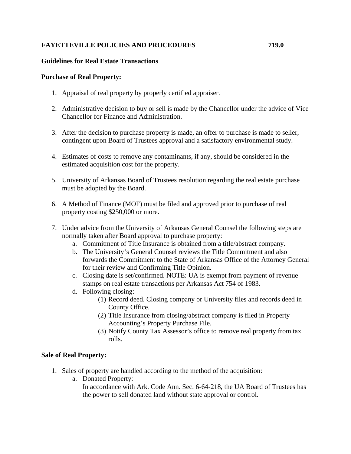# **FAYETTEVILLE POLICIES AND PROCEDURES 719.0**

# **Guidelines for Real Estate Transactions**

## **Purchase of Real Property:**

- 1. Appraisal of real property by properly certified appraiser.
- 2. Administrative decision to buy or sell is made by the Chancellor under the advice of Vice Chancellor for Finance and Administration.
- 3. After the decision to purchase property is made, an offer to purchase is made to seller, contingent upon Board of Trustees approval and a satisfactory environmental study.
- 4. Estimates of costs to remove any contaminants, if any, should be considered in the estimated acquisition cost for the property.
- 5. University of Arkansas Board of Trustees resolution regarding the real estate purchase must be adopted by the Board.
- 6. A Method of Finance (MOF) must be filed and approved prior to purchase of real property costing \$250,000 or more.
- 7. Under advice from the University of Arkansas General Counsel the following steps are normally taken after Board approval to purchase property:
	- a. Commitment of Title Insurance is obtained from a title/abstract company.
	- b. The University's General Counsel reviews the Title Commitment and also forwards the Commitment to the State of Arkansas Office of the Attorney General for their review and Confirming Title Opinion.
	- c. Closing date is set/confirmed. NOTE: UA is exempt from payment of revenue stamps on real estate transactions per Arkansas Act 754 of 1983.
	- d. Following closing:
		- (1) Record deed. Closing company or University files and records deed in County Office.
		- (2) Title Insurance from closing/abstract company is filed in Property Accounting's Property Purchase File.
		- (3) Notify County Tax Assessor's office to remove real property from tax rolls.

## **Sale of Real Property:**

- 1. Sales of property are handled according to the method of the acquisition:
	- a. Donated Property:

In accordance with Ark. Code Ann. Sec. 6-64-218, the UA Board of Trustees has the power to sell donated land without state approval or control.